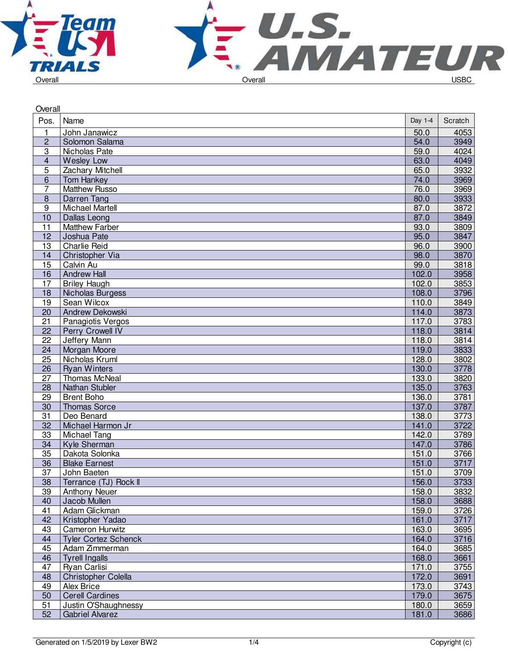



| Overall          |                             |         |         |
|------------------|-----------------------------|---------|---------|
| Pos.             | Name                        | Day 1-4 | Scratch |
| 1                | John Janawicz               | 50.0    | 4053    |
| $\overline{c}$   | Solomon Salama              | 54.0    | 3949    |
| 3                | Nicholas Pate               | 59.0    | 4024    |
| 4                | <b>Wesley Low</b>           | 63.0    | 4049    |
| 5                | Zachary Mitchell            | 65.0    | 3932    |
| 6                | <b>Tom Hankey</b>           | 74.0    | 3969    |
| 7                | <b>Matthew Russo</b>        | 76.0    | 3969    |
| $\boldsymbol{8}$ | Darren Tang                 | 80.0    | 3933    |
| $\overline{9}$   | <b>Michael Martell</b>      | 87.0    | 3872    |
| 10               | Dallas Leong                | 87.0    | 3849    |
| 11               | <b>Matthew Farber</b>       | 93.0    | 3809    |
| 12               | Joshua Pate                 | 95.0    | 3847    |
| 13               | <b>Charlie Reid</b>         | 96.0    | 3900    |
| 14               | Christopher Via             | 98.0    | 3870    |
| 15               | Calvin Au                   | 99.0    | 3818    |
| 16               | <b>Andrew Hall</b>          | 102.0   | 3958    |
| 17               | <b>Briley Haugh</b>         | 102.0   | 3853    |
| 18               | Nicholas Burgess            | 108.0   | 3796    |
| 19               | Sean Wilcox                 | 110.0   | 3849    |
| 20               | Andrew Dekowski             | 114.0   | 3873    |
| 21               | Panagiotis Vergos           | 117.0   | 3783    |
| 22               | <b>Perry Crowell IV</b>     | 118.0   | 3814    |
| 22               | Jeffery Mann                | 118.0   | 3814    |
| 24               | Morgan Moore                | 119.0   | 3833    |
| $\overline{25}$  | Nicholas Kruml              | 128.0   | 3802    |
| 26               | <b>Ryan Winters</b>         | 130.0   | 3778    |
| 27               | <b>Thomas McNeal</b>        | 133.0   | 3820    |
| 28               | Nathan Stubler              | 135.0   | 3763    |
| 29               | <b>Brent Boho</b>           | 136.0   | 3781    |
| 30               | <b>Thomas Sorce</b>         | 137.0   | 3787    |
| 31               | Deo Benard                  | 138.0   | 3773    |
| 32               | Michael Harmon Jr           | 141.0   | 3722    |
| 33               | Michael Tang                | 142.0   | 3789    |
| 34               | Kyle Sherman                | 147.0   | 3786    |
| $\overline{35}$  | Dakota Solonka              | 151.0   | 3766    |
| 36               | <b>Blake Earnest</b>        | 151.0   | 3717    |
| $\overline{37}$  | John Baeten                 | 151.0   | 3709    |
| 38               | Terrance (TJ) Rock II       | 156.0   | 3733    |
| 39               | <b>Anthony Neuer</b>        | 158.0   | 3832    |
| 40               | Jacob Mullen                | 158.0   | 3688    |
| 41               | Adam Glickman               | 159.0   | 3726    |
| 42               | Kristopher Yadao            | 161.0   | 3717    |
| 43               | Cameron Hurwitz             | 163.0   | 3695    |
| 44               | <b>Tyler Cortez Schenck</b> | 164.0   | 3716    |
| 45               | Adam Zimmerman              | 164.0   | 3685    |
| 46               | <b>Tyrell Ingalls</b>       | 168.0   | 3661    |
| 47               | Ryan Carlisi                | 171.0   | 3755    |
| 48               | Christopher Colella         | 172.0   | 3691    |
| 49               | Alex Brice                  | 173.0   | 3743    |
| 50               | <b>Cerell Cardines</b>      | 179.0   | 3675    |
| 51               | Justin O'Shaughnessy        | 180.0   | 3659    |
| 52               | <b>Gabriel Alvarez</b>      | 181.0   | 3686    |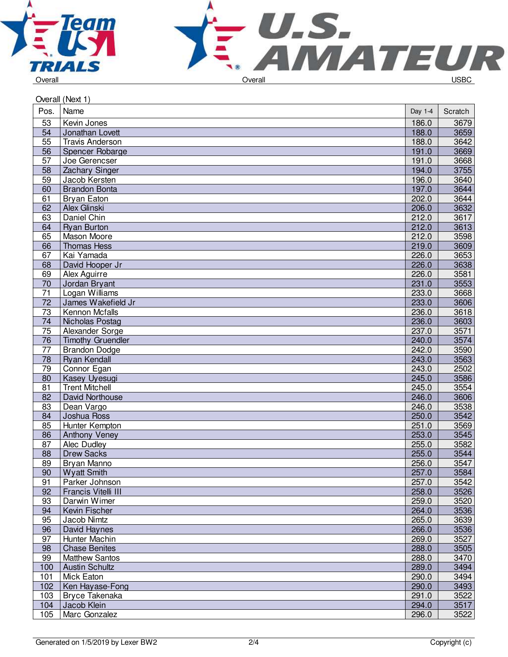



| Overall (Next 1) |                                      |                |              |  |
|------------------|--------------------------------------|----------------|--------------|--|
| Pos.             | Name                                 | Day 1-4        | Scratch      |  |
| 53               | Kevin Jones                          | 186.0          | 3679         |  |
| 54               | Jonathan Lovett                      | 188.0          | 3659         |  |
| 55               | <b>Travis Anderson</b>               | 188.0          | 3642         |  |
| 56               | Spencer Robarge                      | 191.0          | 3669         |  |
| 57               | Joe Gerencser                        | 191.0          | 3668         |  |
| 58               | <b>Zachary Singer</b>                | 194.0          | 3755         |  |
| 59               | Jacob Kersten                        | 196.0          | 3640         |  |
| 60               | <b>Brandon Bonta</b>                 | 197.0          | 3644         |  |
| 61               | <b>Bryan Eaton</b>                   | 202.0          | 3644         |  |
| 62               | Alex Glinski                         | 206.0          | 3632         |  |
| 63               | Daniel Chin                          | 212.0          | 3617         |  |
| 64               | <b>Ryan Burton</b>                   | 212.0          | 3613         |  |
| 65               | Mason Moore                          | 212.0          | 3598         |  |
| 66               | <b>Thomas Hess</b>                   | 219.0          | 3609         |  |
| 67               | Kai Yamada                           | 226.0          | 3653         |  |
| 68               | David Hooper Jr                      | 226.0          | 3638         |  |
| 69               | Alex Aguirre                         | 226.0          | 3581         |  |
| 70               | Jordan Bryant                        | 231.0          | 3553         |  |
| 71               | Logan Williams                       | 233.0          | 3668         |  |
| 72               | James Wakefield Jr                   | 233.0          | 3606         |  |
| 73               | Kennon Mcfalls                       | 236.0          | 3618         |  |
| 74               | Nicholas Postag                      | 236.0          | 3603         |  |
| 75               | Alexander Sorge                      | 237.0          | 3571         |  |
| 76               | <b>Timothy Gruendler</b>             | 240.0          | 3574         |  |
| 77               | <b>Brandon Dodge</b>                 | 242.0          | 3590         |  |
| $\overline{78}$  | Ryan Kendall                         | 243.0          | 3563         |  |
| 79               | Connor Egan                          | 243.0          | 2502         |  |
| 80               | Kasey Uyesugi                        | 245.0          | 3586         |  |
| 81               | <b>Trent Mitchell</b>                | 245.0          | 3554         |  |
| 82               | David Northouse                      | 246.0          | 3606         |  |
| 83               | Dean Vargo                           | 246.0          | 3538         |  |
| 84               | <b>Joshua Ross</b>                   | 250.0          | 3542         |  |
| 85               | Hunter Kempton                       | 251.0          | 3569         |  |
| 86               | Anthony Veney                        | 253.0          | 3545         |  |
| 87               | Alec Dudley                          | 255.0          | 3582         |  |
| 88               | <b>Drew Sacks</b>                    | 255.0          | 3544         |  |
| 89               | Bryan Manno                          | 256.0          | 3547         |  |
| 90<br>91         | <b>Wyatt Smith</b><br>Parker Johnson | 257.0<br>257.0 | 3584<br>3542 |  |
| 92               | Francis Vitelli III                  | 258.0          | 3526         |  |
| 93               | Darwin Wimer                         | 259.0          | 3520         |  |
| 94               | Kevin Fischer                        | 264.0          | 3536         |  |
| 95               | Jacob Nimtz                          | 265.0          | 3639         |  |
| 96               | David Haynes                         | 266.0          | 3536         |  |
| 97               | Hunter Machin                        | 269.0          | 3527         |  |
| 98               | <b>Chase Benites</b>                 | 288.0          | 3505         |  |
| 99               | <b>Matthew Santos</b>                | 288.0          | 3470         |  |
| 100              | <b>Austin Schultz</b>                | 289.0          | 3494         |  |
| 101              | Mick Eaton                           | 290.0          | 3494         |  |
| 102              | Ken Hayase-Fong                      | 290.0          | 3493         |  |
| 103              | Bryce Takenaka                       | 291.0          | 3522         |  |
| 104              | Jacob Klein                          | 294.0          | 3517         |  |
| 105              | Marc Gonzalez                        | 296.0          | 3522         |  |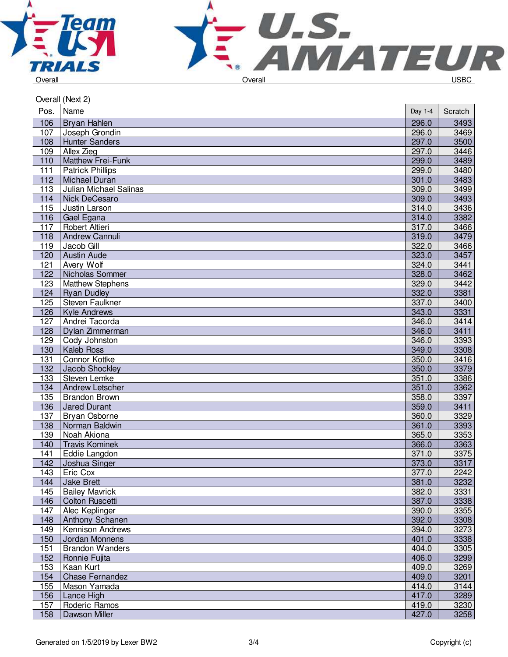



| Name<br>Pos.<br>Day 1-4<br>Scratch<br>106<br>296.0<br>3493<br>Bryan Hahlen<br>107<br>3469<br>Joseph Grondin<br>296.0<br>297.0<br>108<br>3500<br><b>Hunter Sanders</b><br>109<br>Allex Zieg<br>297.0<br>3446<br>3489<br>110<br>299.0<br><b>Matthew Frei-Funk</b><br>111<br><b>Patrick Phillips</b><br>299.0<br>3480<br>112<br>3483<br><b>Michael Duran</b><br>301.0<br>113<br>Julian Michael Salinas<br>309.0<br>3499<br>309.0<br>3493<br>114<br>Nick DeCesaro<br>115<br>Justin Larson<br>314.0<br>3436<br>116<br>3382<br>Gael Egana<br>314.0<br>117<br>Robert Altieri<br>317.0<br>3466<br>319.0<br>118<br>3479<br><b>Andrew Cannuli</b><br>322.0<br>3466<br>119<br>Jacob Gill<br>120<br>323.0<br>3457<br><b>Austin Aude</b><br>121<br><b>Avery Wolf</b><br>324.0<br>3441<br>122<br>328.0<br>3462<br>Nicholas Sommer<br>123<br>329.0<br>3442<br><b>Matthew Stephens</b><br>332.0<br>3381<br>124<br><b>Ryan Dudley</b><br>125<br><b>Steven Faulkner</b><br>337.0<br>3400<br>3331<br>126<br>343.0<br><b>Kyle Andrews</b><br>127<br>Andrei Tacorda<br>346.0<br>3414<br>128<br>346.0<br>3411<br>Dylan Zimmerman<br>3393<br>129<br>Cody Johnston<br>346.0<br>130<br><b>Kaleb Ross</b><br>349.0<br>3308<br>131<br>Connor Kottke<br>350.0<br>3416<br>3379<br>132<br>350.0<br>Jacob Shockley<br>133<br>Steven Lemke<br>351.0<br>3386<br>134<br>351.0<br>3362<br>Andrew Letscher<br>135<br><b>Brandon Brown</b><br>358.0<br>3397<br>136<br>359.0<br>3411<br><b>Jared Durant</b><br>137<br>Bryan Osborne<br>360.0<br>3329<br>138<br>361.0<br>3393<br>Norman Baldwin<br>Noah Akiona<br>3353<br>139<br>365.0<br>366.0<br>3363<br>140<br><b>Travis Kominek</b><br>141<br>Eddie Langdon<br>371.0<br>3375<br>$142$<br>Joshua Singer<br>373.0<br>$3317$<br>2242<br>143<br>377.0<br>Eric Cox<br>3232<br>144<br>Jake Brett<br>381.0<br>145<br><b>Bailey Mavrick</b><br>3331<br>382.0<br>387.0<br>3338<br>146<br><b>Colton Ruscetti</b><br>147<br>Alec Keplinger<br>390.0<br>3355<br>392.0<br>3308<br>148<br>Anthony Schanen<br>394.0<br>3273<br>149<br><b>Kennison Andrews</b><br>150<br>401.0<br>3338<br>Jordan Monnens<br>151<br><b>Brandon Wanders</b><br>404.0<br>3305<br>152<br>3299<br>Ronnie Fujita<br>406.0<br>409.0<br>153<br>Kaan Kurt<br>3269<br>154<br>409.0<br>3201<br><b>Chase Fernandez</b><br>155<br>Mason Yamada<br>414.0<br>3144<br>3289<br>156<br>417.0<br>Lance High<br>157<br>Roderic Ramos<br>419.0<br>3230<br>158<br>427.0<br>3258<br>Dawson Miller | Overall (Next 2) |  |  |  |  |
|---------------------------------------------------------------------------------------------------------------------------------------------------------------------------------------------------------------------------------------------------------------------------------------------------------------------------------------------------------------------------------------------------------------------------------------------------------------------------------------------------------------------------------------------------------------------------------------------------------------------------------------------------------------------------------------------------------------------------------------------------------------------------------------------------------------------------------------------------------------------------------------------------------------------------------------------------------------------------------------------------------------------------------------------------------------------------------------------------------------------------------------------------------------------------------------------------------------------------------------------------------------------------------------------------------------------------------------------------------------------------------------------------------------------------------------------------------------------------------------------------------------------------------------------------------------------------------------------------------------------------------------------------------------------------------------------------------------------------------------------------------------------------------------------------------------------------------------------------------------------------------------------------------------------------------------------------------------------------------------------------------------------------------------------------------------------------------------------------------------------------------------------------------------------------------------------------------------------------------------------------------------------------------------------------------------------------------------------------------------------------------------------------------------------------------------------------------|------------------|--|--|--|--|
|                                                                                                                                                                                                                                                                                                                                                                                                                                                                                                                                                                                                                                                                                                                                                                                                                                                                                                                                                                                                                                                                                                                                                                                                                                                                                                                                                                                                                                                                                                                                                                                                                                                                                                                                                                                                                                                                                                                                                                                                                                                                                                                                                                                                                                                                                                                                                                                                                                                         |                  |  |  |  |  |
|                                                                                                                                                                                                                                                                                                                                                                                                                                                                                                                                                                                                                                                                                                                                                                                                                                                                                                                                                                                                                                                                                                                                                                                                                                                                                                                                                                                                                                                                                                                                                                                                                                                                                                                                                                                                                                                                                                                                                                                                                                                                                                                                                                                                                                                                                                                                                                                                                                                         |                  |  |  |  |  |
|                                                                                                                                                                                                                                                                                                                                                                                                                                                                                                                                                                                                                                                                                                                                                                                                                                                                                                                                                                                                                                                                                                                                                                                                                                                                                                                                                                                                                                                                                                                                                                                                                                                                                                                                                                                                                                                                                                                                                                                                                                                                                                                                                                                                                                                                                                                                                                                                                                                         |                  |  |  |  |  |
|                                                                                                                                                                                                                                                                                                                                                                                                                                                                                                                                                                                                                                                                                                                                                                                                                                                                                                                                                                                                                                                                                                                                                                                                                                                                                                                                                                                                                                                                                                                                                                                                                                                                                                                                                                                                                                                                                                                                                                                                                                                                                                                                                                                                                                                                                                                                                                                                                                                         |                  |  |  |  |  |
|                                                                                                                                                                                                                                                                                                                                                                                                                                                                                                                                                                                                                                                                                                                                                                                                                                                                                                                                                                                                                                                                                                                                                                                                                                                                                                                                                                                                                                                                                                                                                                                                                                                                                                                                                                                                                                                                                                                                                                                                                                                                                                                                                                                                                                                                                                                                                                                                                                                         |                  |  |  |  |  |
|                                                                                                                                                                                                                                                                                                                                                                                                                                                                                                                                                                                                                                                                                                                                                                                                                                                                                                                                                                                                                                                                                                                                                                                                                                                                                                                                                                                                                                                                                                                                                                                                                                                                                                                                                                                                                                                                                                                                                                                                                                                                                                                                                                                                                                                                                                                                                                                                                                                         |                  |  |  |  |  |
|                                                                                                                                                                                                                                                                                                                                                                                                                                                                                                                                                                                                                                                                                                                                                                                                                                                                                                                                                                                                                                                                                                                                                                                                                                                                                                                                                                                                                                                                                                                                                                                                                                                                                                                                                                                                                                                                                                                                                                                                                                                                                                                                                                                                                                                                                                                                                                                                                                                         |                  |  |  |  |  |
|                                                                                                                                                                                                                                                                                                                                                                                                                                                                                                                                                                                                                                                                                                                                                                                                                                                                                                                                                                                                                                                                                                                                                                                                                                                                                                                                                                                                                                                                                                                                                                                                                                                                                                                                                                                                                                                                                                                                                                                                                                                                                                                                                                                                                                                                                                                                                                                                                                                         |                  |  |  |  |  |
|                                                                                                                                                                                                                                                                                                                                                                                                                                                                                                                                                                                                                                                                                                                                                                                                                                                                                                                                                                                                                                                                                                                                                                                                                                                                                                                                                                                                                                                                                                                                                                                                                                                                                                                                                                                                                                                                                                                                                                                                                                                                                                                                                                                                                                                                                                                                                                                                                                                         |                  |  |  |  |  |
|                                                                                                                                                                                                                                                                                                                                                                                                                                                                                                                                                                                                                                                                                                                                                                                                                                                                                                                                                                                                                                                                                                                                                                                                                                                                                                                                                                                                                                                                                                                                                                                                                                                                                                                                                                                                                                                                                                                                                                                                                                                                                                                                                                                                                                                                                                                                                                                                                                                         |                  |  |  |  |  |
|                                                                                                                                                                                                                                                                                                                                                                                                                                                                                                                                                                                                                                                                                                                                                                                                                                                                                                                                                                                                                                                                                                                                                                                                                                                                                                                                                                                                                                                                                                                                                                                                                                                                                                                                                                                                                                                                                                                                                                                                                                                                                                                                                                                                                                                                                                                                                                                                                                                         |                  |  |  |  |  |
|                                                                                                                                                                                                                                                                                                                                                                                                                                                                                                                                                                                                                                                                                                                                                                                                                                                                                                                                                                                                                                                                                                                                                                                                                                                                                                                                                                                                                                                                                                                                                                                                                                                                                                                                                                                                                                                                                                                                                                                                                                                                                                                                                                                                                                                                                                                                                                                                                                                         |                  |  |  |  |  |
|                                                                                                                                                                                                                                                                                                                                                                                                                                                                                                                                                                                                                                                                                                                                                                                                                                                                                                                                                                                                                                                                                                                                                                                                                                                                                                                                                                                                                                                                                                                                                                                                                                                                                                                                                                                                                                                                                                                                                                                                                                                                                                                                                                                                                                                                                                                                                                                                                                                         |                  |  |  |  |  |
|                                                                                                                                                                                                                                                                                                                                                                                                                                                                                                                                                                                                                                                                                                                                                                                                                                                                                                                                                                                                                                                                                                                                                                                                                                                                                                                                                                                                                                                                                                                                                                                                                                                                                                                                                                                                                                                                                                                                                                                                                                                                                                                                                                                                                                                                                                                                                                                                                                                         |                  |  |  |  |  |
|                                                                                                                                                                                                                                                                                                                                                                                                                                                                                                                                                                                                                                                                                                                                                                                                                                                                                                                                                                                                                                                                                                                                                                                                                                                                                                                                                                                                                                                                                                                                                                                                                                                                                                                                                                                                                                                                                                                                                                                                                                                                                                                                                                                                                                                                                                                                                                                                                                                         |                  |  |  |  |  |
|                                                                                                                                                                                                                                                                                                                                                                                                                                                                                                                                                                                                                                                                                                                                                                                                                                                                                                                                                                                                                                                                                                                                                                                                                                                                                                                                                                                                                                                                                                                                                                                                                                                                                                                                                                                                                                                                                                                                                                                                                                                                                                                                                                                                                                                                                                                                                                                                                                                         |                  |  |  |  |  |
|                                                                                                                                                                                                                                                                                                                                                                                                                                                                                                                                                                                                                                                                                                                                                                                                                                                                                                                                                                                                                                                                                                                                                                                                                                                                                                                                                                                                                                                                                                                                                                                                                                                                                                                                                                                                                                                                                                                                                                                                                                                                                                                                                                                                                                                                                                                                                                                                                                                         |                  |  |  |  |  |
|                                                                                                                                                                                                                                                                                                                                                                                                                                                                                                                                                                                                                                                                                                                                                                                                                                                                                                                                                                                                                                                                                                                                                                                                                                                                                                                                                                                                                                                                                                                                                                                                                                                                                                                                                                                                                                                                                                                                                                                                                                                                                                                                                                                                                                                                                                                                                                                                                                                         |                  |  |  |  |  |
|                                                                                                                                                                                                                                                                                                                                                                                                                                                                                                                                                                                                                                                                                                                                                                                                                                                                                                                                                                                                                                                                                                                                                                                                                                                                                                                                                                                                                                                                                                                                                                                                                                                                                                                                                                                                                                                                                                                                                                                                                                                                                                                                                                                                                                                                                                                                                                                                                                                         |                  |  |  |  |  |
|                                                                                                                                                                                                                                                                                                                                                                                                                                                                                                                                                                                                                                                                                                                                                                                                                                                                                                                                                                                                                                                                                                                                                                                                                                                                                                                                                                                                                                                                                                                                                                                                                                                                                                                                                                                                                                                                                                                                                                                                                                                                                                                                                                                                                                                                                                                                                                                                                                                         |                  |  |  |  |  |
|                                                                                                                                                                                                                                                                                                                                                                                                                                                                                                                                                                                                                                                                                                                                                                                                                                                                                                                                                                                                                                                                                                                                                                                                                                                                                                                                                                                                                                                                                                                                                                                                                                                                                                                                                                                                                                                                                                                                                                                                                                                                                                                                                                                                                                                                                                                                                                                                                                                         |                  |  |  |  |  |
|                                                                                                                                                                                                                                                                                                                                                                                                                                                                                                                                                                                                                                                                                                                                                                                                                                                                                                                                                                                                                                                                                                                                                                                                                                                                                                                                                                                                                                                                                                                                                                                                                                                                                                                                                                                                                                                                                                                                                                                                                                                                                                                                                                                                                                                                                                                                                                                                                                                         |                  |  |  |  |  |
|                                                                                                                                                                                                                                                                                                                                                                                                                                                                                                                                                                                                                                                                                                                                                                                                                                                                                                                                                                                                                                                                                                                                                                                                                                                                                                                                                                                                                                                                                                                                                                                                                                                                                                                                                                                                                                                                                                                                                                                                                                                                                                                                                                                                                                                                                                                                                                                                                                                         |                  |  |  |  |  |
|                                                                                                                                                                                                                                                                                                                                                                                                                                                                                                                                                                                                                                                                                                                                                                                                                                                                                                                                                                                                                                                                                                                                                                                                                                                                                                                                                                                                                                                                                                                                                                                                                                                                                                                                                                                                                                                                                                                                                                                                                                                                                                                                                                                                                                                                                                                                                                                                                                                         |                  |  |  |  |  |
|                                                                                                                                                                                                                                                                                                                                                                                                                                                                                                                                                                                                                                                                                                                                                                                                                                                                                                                                                                                                                                                                                                                                                                                                                                                                                                                                                                                                                                                                                                                                                                                                                                                                                                                                                                                                                                                                                                                                                                                                                                                                                                                                                                                                                                                                                                                                                                                                                                                         |                  |  |  |  |  |
|                                                                                                                                                                                                                                                                                                                                                                                                                                                                                                                                                                                                                                                                                                                                                                                                                                                                                                                                                                                                                                                                                                                                                                                                                                                                                                                                                                                                                                                                                                                                                                                                                                                                                                                                                                                                                                                                                                                                                                                                                                                                                                                                                                                                                                                                                                                                                                                                                                                         |                  |  |  |  |  |
|                                                                                                                                                                                                                                                                                                                                                                                                                                                                                                                                                                                                                                                                                                                                                                                                                                                                                                                                                                                                                                                                                                                                                                                                                                                                                                                                                                                                                                                                                                                                                                                                                                                                                                                                                                                                                                                                                                                                                                                                                                                                                                                                                                                                                                                                                                                                                                                                                                                         |                  |  |  |  |  |
|                                                                                                                                                                                                                                                                                                                                                                                                                                                                                                                                                                                                                                                                                                                                                                                                                                                                                                                                                                                                                                                                                                                                                                                                                                                                                                                                                                                                                                                                                                                                                                                                                                                                                                                                                                                                                                                                                                                                                                                                                                                                                                                                                                                                                                                                                                                                                                                                                                                         |                  |  |  |  |  |
|                                                                                                                                                                                                                                                                                                                                                                                                                                                                                                                                                                                                                                                                                                                                                                                                                                                                                                                                                                                                                                                                                                                                                                                                                                                                                                                                                                                                                                                                                                                                                                                                                                                                                                                                                                                                                                                                                                                                                                                                                                                                                                                                                                                                                                                                                                                                                                                                                                                         |                  |  |  |  |  |
|                                                                                                                                                                                                                                                                                                                                                                                                                                                                                                                                                                                                                                                                                                                                                                                                                                                                                                                                                                                                                                                                                                                                                                                                                                                                                                                                                                                                                                                                                                                                                                                                                                                                                                                                                                                                                                                                                                                                                                                                                                                                                                                                                                                                                                                                                                                                                                                                                                                         |                  |  |  |  |  |
|                                                                                                                                                                                                                                                                                                                                                                                                                                                                                                                                                                                                                                                                                                                                                                                                                                                                                                                                                                                                                                                                                                                                                                                                                                                                                                                                                                                                                                                                                                                                                                                                                                                                                                                                                                                                                                                                                                                                                                                                                                                                                                                                                                                                                                                                                                                                                                                                                                                         |                  |  |  |  |  |
|                                                                                                                                                                                                                                                                                                                                                                                                                                                                                                                                                                                                                                                                                                                                                                                                                                                                                                                                                                                                                                                                                                                                                                                                                                                                                                                                                                                                                                                                                                                                                                                                                                                                                                                                                                                                                                                                                                                                                                                                                                                                                                                                                                                                                                                                                                                                                                                                                                                         |                  |  |  |  |  |
|                                                                                                                                                                                                                                                                                                                                                                                                                                                                                                                                                                                                                                                                                                                                                                                                                                                                                                                                                                                                                                                                                                                                                                                                                                                                                                                                                                                                                                                                                                                                                                                                                                                                                                                                                                                                                                                                                                                                                                                                                                                                                                                                                                                                                                                                                                                                                                                                                                                         |                  |  |  |  |  |
|                                                                                                                                                                                                                                                                                                                                                                                                                                                                                                                                                                                                                                                                                                                                                                                                                                                                                                                                                                                                                                                                                                                                                                                                                                                                                                                                                                                                                                                                                                                                                                                                                                                                                                                                                                                                                                                                                                                                                                                                                                                                                                                                                                                                                                                                                                                                                                                                                                                         |                  |  |  |  |  |
|                                                                                                                                                                                                                                                                                                                                                                                                                                                                                                                                                                                                                                                                                                                                                                                                                                                                                                                                                                                                                                                                                                                                                                                                                                                                                                                                                                                                                                                                                                                                                                                                                                                                                                                                                                                                                                                                                                                                                                                                                                                                                                                                                                                                                                                                                                                                                                                                                                                         |                  |  |  |  |  |
|                                                                                                                                                                                                                                                                                                                                                                                                                                                                                                                                                                                                                                                                                                                                                                                                                                                                                                                                                                                                                                                                                                                                                                                                                                                                                                                                                                                                                                                                                                                                                                                                                                                                                                                                                                                                                                                                                                                                                                                                                                                                                                                                                                                                                                                                                                                                                                                                                                                         |                  |  |  |  |  |
|                                                                                                                                                                                                                                                                                                                                                                                                                                                                                                                                                                                                                                                                                                                                                                                                                                                                                                                                                                                                                                                                                                                                                                                                                                                                                                                                                                                                                                                                                                                                                                                                                                                                                                                                                                                                                                                                                                                                                                                                                                                                                                                                                                                                                                                                                                                                                                                                                                                         |                  |  |  |  |  |
|                                                                                                                                                                                                                                                                                                                                                                                                                                                                                                                                                                                                                                                                                                                                                                                                                                                                                                                                                                                                                                                                                                                                                                                                                                                                                                                                                                                                                                                                                                                                                                                                                                                                                                                                                                                                                                                                                                                                                                                                                                                                                                                                                                                                                                                                                                                                                                                                                                                         |                  |  |  |  |  |
|                                                                                                                                                                                                                                                                                                                                                                                                                                                                                                                                                                                                                                                                                                                                                                                                                                                                                                                                                                                                                                                                                                                                                                                                                                                                                                                                                                                                                                                                                                                                                                                                                                                                                                                                                                                                                                                                                                                                                                                                                                                                                                                                                                                                                                                                                                                                                                                                                                                         |                  |  |  |  |  |
|                                                                                                                                                                                                                                                                                                                                                                                                                                                                                                                                                                                                                                                                                                                                                                                                                                                                                                                                                                                                                                                                                                                                                                                                                                                                                                                                                                                                                                                                                                                                                                                                                                                                                                                                                                                                                                                                                                                                                                                                                                                                                                                                                                                                                                                                                                                                                                                                                                                         |                  |  |  |  |  |
|                                                                                                                                                                                                                                                                                                                                                                                                                                                                                                                                                                                                                                                                                                                                                                                                                                                                                                                                                                                                                                                                                                                                                                                                                                                                                                                                                                                                                                                                                                                                                                                                                                                                                                                                                                                                                                                                                                                                                                                                                                                                                                                                                                                                                                                                                                                                                                                                                                                         |                  |  |  |  |  |
|                                                                                                                                                                                                                                                                                                                                                                                                                                                                                                                                                                                                                                                                                                                                                                                                                                                                                                                                                                                                                                                                                                                                                                                                                                                                                                                                                                                                                                                                                                                                                                                                                                                                                                                                                                                                                                                                                                                                                                                                                                                                                                                                                                                                                                                                                                                                                                                                                                                         |                  |  |  |  |  |
|                                                                                                                                                                                                                                                                                                                                                                                                                                                                                                                                                                                                                                                                                                                                                                                                                                                                                                                                                                                                                                                                                                                                                                                                                                                                                                                                                                                                                                                                                                                                                                                                                                                                                                                                                                                                                                                                                                                                                                                                                                                                                                                                                                                                                                                                                                                                                                                                                                                         |                  |  |  |  |  |
|                                                                                                                                                                                                                                                                                                                                                                                                                                                                                                                                                                                                                                                                                                                                                                                                                                                                                                                                                                                                                                                                                                                                                                                                                                                                                                                                                                                                                                                                                                                                                                                                                                                                                                                                                                                                                                                                                                                                                                                                                                                                                                                                                                                                                                                                                                                                                                                                                                                         |                  |  |  |  |  |
|                                                                                                                                                                                                                                                                                                                                                                                                                                                                                                                                                                                                                                                                                                                                                                                                                                                                                                                                                                                                                                                                                                                                                                                                                                                                                                                                                                                                                                                                                                                                                                                                                                                                                                                                                                                                                                                                                                                                                                                                                                                                                                                                                                                                                                                                                                                                                                                                                                                         |                  |  |  |  |  |
|                                                                                                                                                                                                                                                                                                                                                                                                                                                                                                                                                                                                                                                                                                                                                                                                                                                                                                                                                                                                                                                                                                                                                                                                                                                                                                                                                                                                                                                                                                                                                                                                                                                                                                                                                                                                                                                                                                                                                                                                                                                                                                                                                                                                                                                                                                                                                                                                                                                         |                  |  |  |  |  |
|                                                                                                                                                                                                                                                                                                                                                                                                                                                                                                                                                                                                                                                                                                                                                                                                                                                                                                                                                                                                                                                                                                                                                                                                                                                                                                                                                                                                                                                                                                                                                                                                                                                                                                                                                                                                                                                                                                                                                                                                                                                                                                                                                                                                                                                                                                                                                                                                                                                         |                  |  |  |  |  |
|                                                                                                                                                                                                                                                                                                                                                                                                                                                                                                                                                                                                                                                                                                                                                                                                                                                                                                                                                                                                                                                                                                                                                                                                                                                                                                                                                                                                                                                                                                                                                                                                                                                                                                                                                                                                                                                                                                                                                                                                                                                                                                                                                                                                                                                                                                                                                                                                                                                         |                  |  |  |  |  |
|                                                                                                                                                                                                                                                                                                                                                                                                                                                                                                                                                                                                                                                                                                                                                                                                                                                                                                                                                                                                                                                                                                                                                                                                                                                                                                                                                                                                                                                                                                                                                                                                                                                                                                                                                                                                                                                                                                                                                                                                                                                                                                                                                                                                                                                                                                                                                                                                                                                         |                  |  |  |  |  |
|                                                                                                                                                                                                                                                                                                                                                                                                                                                                                                                                                                                                                                                                                                                                                                                                                                                                                                                                                                                                                                                                                                                                                                                                                                                                                                                                                                                                                                                                                                                                                                                                                                                                                                                                                                                                                                                                                                                                                                                                                                                                                                                                                                                                                                                                                                                                                                                                                                                         |                  |  |  |  |  |
|                                                                                                                                                                                                                                                                                                                                                                                                                                                                                                                                                                                                                                                                                                                                                                                                                                                                                                                                                                                                                                                                                                                                                                                                                                                                                                                                                                                                                                                                                                                                                                                                                                                                                                                                                                                                                                                                                                                                                                                                                                                                                                                                                                                                                                                                                                                                                                                                                                                         |                  |  |  |  |  |
|                                                                                                                                                                                                                                                                                                                                                                                                                                                                                                                                                                                                                                                                                                                                                                                                                                                                                                                                                                                                                                                                                                                                                                                                                                                                                                                                                                                                                                                                                                                                                                                                                                                                                                                                                                                                                                                                                                                                                                                                                                                                                                                                                                                                                                                                                                                                                                                                                                                         |                  |  |  |  |  |
|                                                                                                                                                                                                                                                                                                                                                                                                                                                                                                                                                                                                                                                                                                                                                                                                                                                                                                                                                                                                                                                                                                                                                                                                                                                                                                                                                                                                                                                                                                                                                                                                                                                                                                                                                                                                                                                                                                                                                                                                                                                                                                                                                                                                                                                                                                                                                                                                                                                         |                  |  |  |  |  |
|                                                                                                                                                                                                                                                                                                                                                                                                                                                                                                                                                                                                                                                                                                                                                                                                                                                                                                                                                                                                                                                                                                                                                                                                                                                                                                                                                                                                                                                                                                                                                                                                                                                                                                                                                                                                                                                                                                                                                                                                                                                                                                                                                                                                                                                                                                                                                                                                                                                         |                  |  |  |  |  |